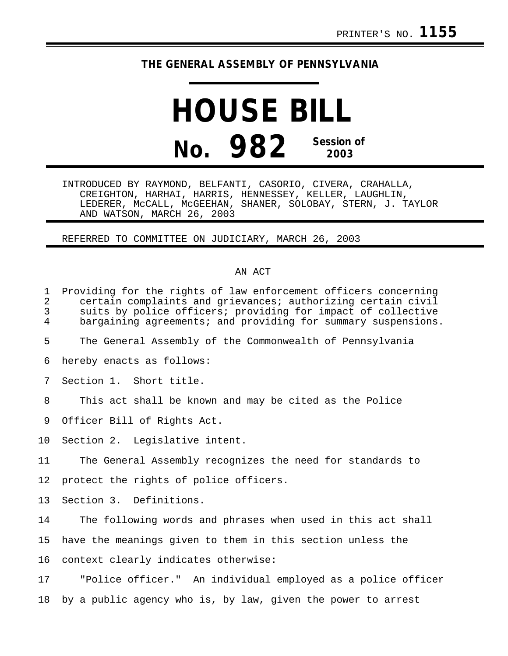## **THE GENERAL ASSEMBLY OF PENNSYLVANIA**

## **HOUSE BILL No. 982 Session of 2003**

INTRODUCED BY RAYMOND, BELFANTI, CASORIO, CIVERA, CRAHALLA, CREIGHTON, HARHAI, HARRIS, HENNESSEY, KELLER, LAUGHLIN, LEDERER, McCALL, McGEEHAN, SHANER, SOLOBAY, STERN, J. TAYLOR AND WATSON, MARCH 26, 2003

REFERRED TO COMMITTEE ON JUDICIARY, MARCH 26, 2003

## AN ACT

| $\mathbf{1}$<br>$\overline{2}$<br>3<br>4 | Providing for the rights of law enforcement officers concerning<br>certain complaints and grievances; authorizing certain civil<br>suits by police officers; providing for impact of collective<br>bargaining agreements; and providing for summary suspensions. |
|------------------------------------------|------------------------------------------------------------------------------------------------------------------------------------------------------------------------------------------------------------------------------------------------------------------|
| 5                                        | The General Assembly of the Commonwealth of Pennsylvania                                                                                                                                                                                                         |
| 6                                        | hereby enacts as follows:                                                                                                                                                                                                                                        |
| 7                                        | Section 1. Short title.                                                                                                                                                                                                                                          |
| 8                                        | This act shall be known and may be cited as the Police                                                                                                                                                                                                           |
| 9                                        | Officer Bill of Rights Act.                                                                                                                                                                                                                                      |
| 10                                       | Section 2. Legislative intent.                                                                                                                                                                                                                                   |
| 11                                       | The General Assembly recognizes the need for standards to                                                                                                                                                                                                        |
| 12                                       | protect the rights of police officers.                                                                                                                                                                                                                           |
| 13                                       | Section 3. Definitions.                                                                                                                                                                                                                                          |
| 14                                       | The following words and phrases when used in this act shall                                                                                                                                                                                                      |
| 15                                       | have the meanings given to them in this section unless the                                                                                                                                                                                                       |
| 16                                       | context clearly indicates otherwise:                                                                                                                                                                                                                             |
| 17                                       | "Police officer." An individual employed as a police officer                                                                                                                                                                                                     |
| 18                                       | by a public agency who is, by law, given the power to arrest                                                                                                                                                                                                     |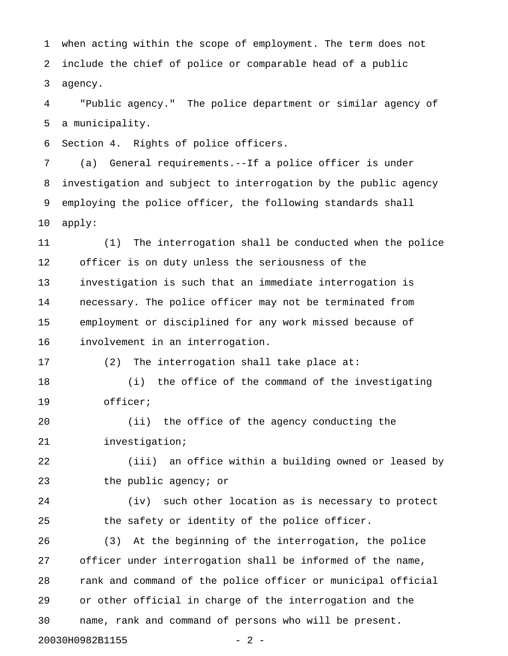1 when acting within the scope of employment. The term does not 2 include the chief of police or comparable head of a public 3 agency.

4 "Public agency." The police department or similar agency of 5 a municipality.

6 Section 4. Rights of police officers.

7 (a) General requirements.--If a police officer is under 8 investigation and subject to interrogation by the public agency 9 employing the police officer, the following standards shall 10 apply:

11 (1) The interrogation shall be conducted when the police 12 officer is on duty unless the seriousness of the 13 investigation is such that an immediate interrogation is 14 necessary. The police officer may not be terminated from 15 employment or disciplined for any work missed because of 16 involvement in an interrogation.

17 (2) The interrogation shall take place at:

18 (i) the office of the command of the investigating 19 officer;

20 (ii) the office of the agency conducting the 21 investigation;

22 (iii) an office within a building owned or leased by 23 the public agency; or

24 (iv) such other location as is necessary to protect 25 the safety or identity of the police officer.

26 (3) At the beginning of the interrogation, the police 27 officer under interrogation shall be informed of the name, 28 rank and command of the police officer or municipal official 29 or other official in charge of the interrogation and the 30 name, rank and command of persons who will be present. 20030H0982B1155 - 2 -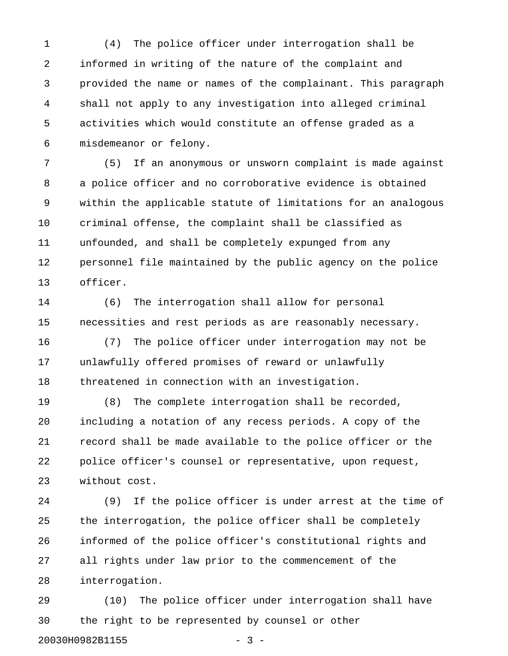1 (4) The police officer under interrogation shall be 2 informed in writing of the nature of the complaint and 3 provided the name or names of the complainant. This paragraph 4 shall not apply to any investigation into alleged criminal 5 activities which would constitute an offense graded as a 6 misdemeanor or felony.

7 (5) If an anonymous or unsworn complaint is made against 8 a police officer and no corroborative evidence is obtained 9 within the applicable statute of limitations for an analogous 10 criminal offense, the complaint shall be classified as 11 unfounded, and shall be completely expunged from any 12 personnel file maintained by the public agency on the police 13 officer.

14 (6) The interrogation shall allow for personal 15 necessities and rest periods as are reasonably necessary.

16 (7) The police officer under interrogation may not be 17 unlawfully offered promises of reward or unlawfully 18 threatened in connection with an investigation.

19 (8) The complete interrogation shall be recorded, 20 including a notation of any recess periods. A copy of the 21 record shall be made available to the police officer or the 22 police officer's counsel or representative, upon request, 23 without cost.

24 (9) If the police officer is under arrest at the time of 25 the interrogation, the police officer shall be completely 26 informed of the police officer's constitutional rights and 27 all rights under law prior to the commencement of the 28 interrogation.

29 (10) The police officer under interrogation shall have 30 the right to be represented by counsel or other 20030H0982B1155 - 3 -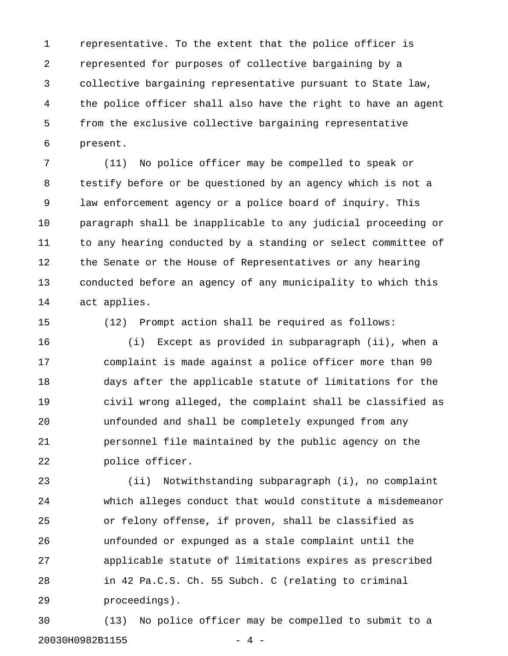1 representative. To the extent that the police officer is 2 represented for purposes of collective bargaining by a 3 collective bargaining representative pursuant to State law, 4 the police officer shall also have the right to have an agent 5 from the exclusive collective bargaining representative 6 present.

7 (11) No police officer may be compelled to speak or 8 testify before or be questioned by an agency which is not a 9 law enforcement agency or a police board of inquiry. This 10 paragraph shall be inapplicable to any judicial proceeding or 11 to any hearing conducted by a standing or select committee of 12 the Senate or the House of Representatives or any hearing 13 conducted before an agency of any municipality to which this 14 act applies.

15 (12) Prompt action shall be required as follows:

16 (i) Except as provided in subparagraph (ii), when a 17 complaint is made against a police officer more than 90 18 days after the applicable statute of limitations for the 19 civil wrong alleged, the complaint shall be classified as 20 unfounded and shall be completely expunged from any 21 personnel file maintained by the public agency on the 22 police officer.

23 (ii) Notwithstanding subparagraph (i), no complaint 24 which alleges conduct that would constitute a misdemeanor 25 or felony offense, if proven, shall be classified as 26 unfounded or expunged as a stale complaint until the 27 applicable statute of limitations expires as prescribed 28 in 42 Pa.C.S. Ch. 55 Subch. C (relating to criminal 29 proceedings).

30 (13) No police officer may be compelled to submit to a 20030H0982B1155 - 4 -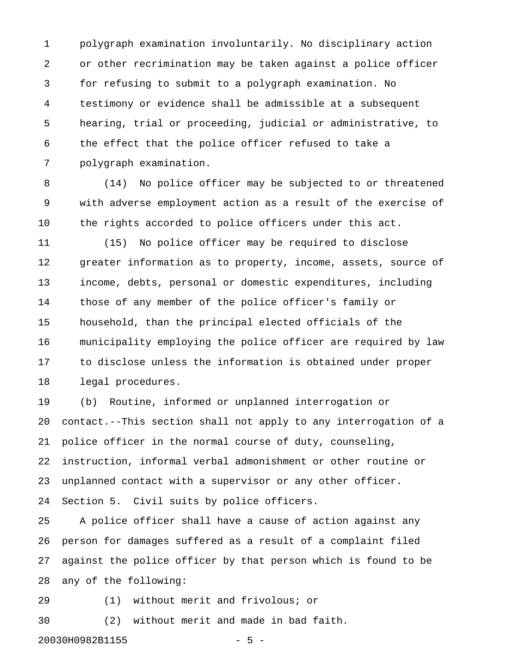1 polygraph examination involuntarily. No disciplinary action 2 or other recrimination may be taken against a police officer 3 for refusing to submit to a polygraph examination. No 4 testimony or evidence shall be admissible at a subsequent 5 hearing, trial or proceeding, judicial or administrative, to 6 the effect that the police officer refused to take a 7 polygraph examination.

8 (14) No police officer may be subjected to or threatened 9 with adverse employment action as a result of the exercise of 10 the rights accorded to police officers under this act.

11 (15) No police officer may be required to disclose 12 greater information as to property, income, assets, source of 13 income, debts, personal or domestic expenditures, including 14 those of any member of the police officer's family or 15 household, than the principal elected officials of the 16 municipality employing the police officer are required by law 17 to disclose unless the information is obtained under proper 18 legal procedures.

19 (b) Routine, informed or unplanned interrogation or 20 contact.--This section shall not apply to any interrogation of a 21 police officer in the normal course of duty, counseling, 22 instruction, informal verbal admonishment or other routine or 23 unplanned contact with a supervisor or any other officer. 24 Section 5. Civil suits by police officers.

25 A police officer shall have a cause of action against any 26 person for damages suffered as a result of a complaint filed 27 against the police officer by that person which is found to be 28 any of the following:

29 (1) without merit and frivolous; or

30 (2) without merit and made in bad faith.

20030H0982B1155 - 5 -